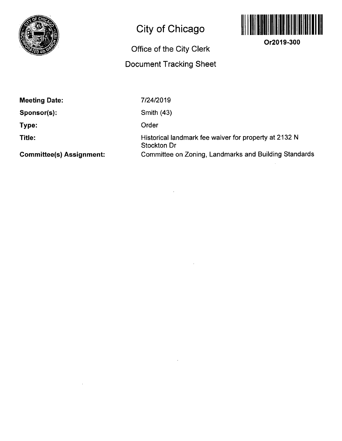

# **City of Chicago**

# **Office of the City Clerk**

# **Document Tracking Sheet**



**Or2019-300** 

**Meeting Date:** 

**Sponsor(s):** 

**Type:** 

**Title:** 

**Committee(s) Assignment:** 

7/24/2019

Smith (43)

Order

Historical landmark fee waiver for property at 2132 N Stockton Dr Committee on Zoning, Landmarks and Building Standards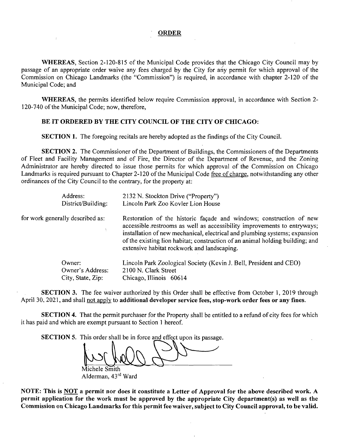#### **ORDER**

WHEREAS, Section 2-120-815 of the Municipal Code provides that the Chicago City Council may by passage of an appropriate order waive any fees charged by the City for any permit for which approval of the Commission on Chicago Landmarks (the "Commission") is required, in accordance with chapter 2-120 of the Municipal Code; and

WHEREAS, the permits identified below require Commission approval, in accordance with Section 2- 120-740 of the Municipal Code; now, therefore,

#### **BE IT ORDERED BY THE CITY COUNCIL OF THE CITY OF CHICAGO:**

SECTION 1. The foregoing recitals are hereby adopted as the findings of the City Council.

SECTION 2. The Commissioner of the Department of Buildings, the Commissioners of the Departments of Fleet and Facility Management and of Fire, the Director of the Department of Revenue, and the Zoning Administrator are hereby directed to issue those permits for which approval of the Commission on Chicago Landmarks is required pursuant to Chapter 2-120 of the Municipal Code free of charge, notwithstanding any other ordinances of the City Council to the contrary, for the property at:

| Address:<br>District/Building:   | 2132 N. Stockton Drive ("Property")<br>Lincoln Park Zoo Kovler Lion House                                                                                                                                                                                                                                                                                     |
|----------------------------------|---------------------------------------------------------------------------------------------------------------------------------------------------------------------------------------------------------------------------------------------------------------------------------------------------------------------------------------------------------------|
|                                  |                                                                                                                                                                                                                                                                                                                                                               |
| for work generally described as: | Restoration of the historic façade and windows; construction of new<br>accessible restrooms as well as accessibility improvements to entryways;<br>installation of new mechanical, electrical and plumbing systems; expansion<br>of the existing lion habitat; construction of an animal holding building; and<br>extensive habitat rockwork and landscaping. |
| Owner:                           | Lincoln Park Zoological Society (Kevin J. Bell, President and CEO)                                                                                                                                                                                                                                                                                            |
| Owner's Address:                 | 2100 N. Clark Street                                                                                                                                                                                                                                                                                                                                          |
| City, State, Zip:                | Chicago, Illinois 60614                                                                                                                                                                                                                                                                                                                                       |

**SECTION 3. The fee waiver authorized by this Order shall be effective from October 1, 2019 through April 30, 2021, and shall not apply to additional developer service fees, stop-work order fees or any fines.** 

SECTION 4. That the permit purchaser for the Property shall be entitled to a refund of city fees for which it has paid and which are exempt pursuant to Section 1 hereof.

SECTION 5. This order shall be in force and effect upon its passage.

Michele Smith

Alderman, 43<sup>rd</sup> Ward

**NOTE: This is NOT a permit nor does it constitute a Letter of Approval for the above described work. A**  permit application for the work must be approved by the appropriate City department(s) as well as the **Commission on Chicago Landmarks for this permit fee waiver, subject to City Council approval, to be valid.**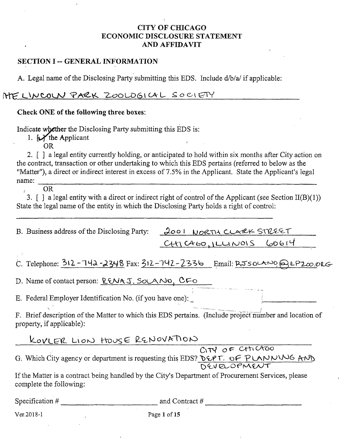### CITY OF CHICAGO ECONOMIC DISCLOSURE STATEMENT AND AFFIDAVIT

#### SECTION I -- GENERAL INFORMATION

A. Legal name of the Disclosing Party submitting this EDS. Include d/b/a/ if applicable:

HE LINCOLN PARK ZOOLOGICAL SOCIETY

#### Check ONE of the following three boxes:

Indicate whether the Disclosing Party submitting this EDS is:

1.  $\bigcup$  the Applicant

OR

2. [ ] a legal entity currently holding, or anticipated to hold within six months after City action on the contract, transaction or other undertaking to which this EDS pertains (referred to below as the "Matter"), a direct or indirect interest in excess of 7.5% in the Applicant. State the Applicant's legal name: 

,, OR

3.  $\int$  a legal entity with a direct or indirect right of control of the Applicant (see Section II(B)(1)) State the legal name of the entity in which the Disclosing Party holds a right of control:

| B. Business address of the Disclosing Party: 2001 NORTH CLARK STREET |                         |
|----------------------------------------------------------------------|-------------------------|
|                                                                      | CH1C460, IULUNOIS 60614 |

 $C.$  Telephone:  $312$ -742-2348 Fax:  $312$ -742-2336 Email: RJSOLANO Q LP2 $\infty$ .org

D. Name of contact person: <u>RENAJ. SOLANO, CFO</u>

*E. Federal Employer Identification No. (if you have one):* 

F. Brief description of the Matter to which this EDS pertains. (Include project number and location of property, if applicable):

KOVLER LION HOUSE RENOVATION<br>CITY OF CHICAGO G. Which City agency or department is requesting this EDS? DEPT. OF PLANNW6 AND

If the Matter is a contract being handled by the City's Department of Procurement Services, please complete the following:

Specification  $\#$  and Contract  $\#$ 

Ver. 2018-1 **Details** Page 1 of 15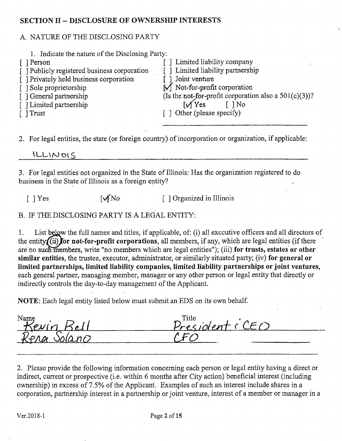#### **SECTION II - DISCLOSURE OF OWNERSHIP INTERESTS**

#### A. NATURE OF THE DISCLOSING PARTY

| 1. Indicate the nature of the Disclosing Party: |                                                          |
|-------------------------------------------------|----------------------------------------------------------|
| [ ] Person                                      | Limited liability company                                |
| [] Publicly registered business corporation     | [ ] Limited liability partnership                        |
| [ ] Privately held business corporation         | Joint venture                                            |
| [] Sole proprietorship                          | $\lfloor \sqrt{\right]$ Not-for-profit corporation       |
| [ ] General partnership                         | (Is the not-for-profit corporation also a $501(c)(3)$ )? |
| [ ] Limited partnership                         | $\mathcal{W}$ Yes<br>$\lceil$ $\rceil$ No                |
| [ ] Trust                                       | $\lceil \cdot \rceil$ Other (please specify)             |
|                                                 |                                                          |

2. For legal entities, the state (or foreign country) of incorporation or organization, if applicable:

 $ILLNOIS$ 

3. For legal entities not organized in the State of Illinois: Has the organization registered to do business in the State of Illinois as a foreign entity?

 $[ ]$   $Yes$   $[ \sqrt{N_0} ]$   $[ ]$  Organized in Illinois

### B. IF THE DISCLOSING PARTY IS A LEGAL ENTITY:

1. List below the full names and titles, if applicable, of: (i) all executive officers and all directors of the entity $\int$  (ii) for not-for-profit corporations, all members, if any, which are legal entities (if there are no such members, write "no members which are legal entities"); (iii) for trusts, estates or other similar entities, the trustee, executor, administrator, or similarly situated party; (iv) for general or limited partnerships, limited liability companies, limited liability partnerships or joint ventures, each general partner, managing member, manager or any other person or legal entity that directly or indirectly controls the day-to-day management of the Applicant.

**NOTE:** Each legal entity listed below must submit an EDS on its own behalf.

Name<br>*Kevin Bell*<br>*Ronn* Salain

2. Please provide the following information conceming each person or legal entity having a direct or indirect, current or prospective (i.e. within 6 months after City action) beneficial interest (including ownership) in excess of 7.5% of the Applicant. Examples of such an interest include shares in a corporation, partnership interest in a partnership or joint venture, interest of a member or manager in a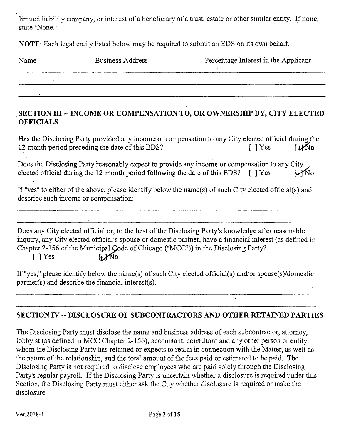limited liability company, or interest of a beneficiary of a trust, estate or other similar entity. If none, state "None."

NOTE: Each legal entity listed below may be required to submit an EDS on its own behalf

| Name | Business Address | Percentage Interest in the Applicant |
|------|------------------|--------------------------------------|
|      |                  |                                      |
|      |                  |                                      |

### **SECTION III -- INCOME OR COMPENSATION TO, OR OWNERSHIP BY, CITY ELECTED OFFICIALS**

Has the Disclosing Party provided any income or compensation to any City elected official during the 12-month period preceding the date of this EDS?  $[ ]$  Yes  $[ ]$   $Y$ es  $[ ]$   $Y$ 

Does the Disclosing Party reasonably expect to provide any income or compensation to any City elected official during the 12-month period following the date of this EDS?  $\int$   $\int$  Yes  $\int$  Mo

If "yes" to either of the above, please identify below the name(s) of such City elected official(s) and describe such income or compensation:

Does any City elected official or, to the best of the Disclosing Party's knowledge after reasonable inquiry, any City elected official's spouse or domestic partner, have a financial interest (as defined in Chapter 2-156 of the Municipal Code of Chicago ("MCC")) in the Disclosing Party?  $1.1$ No  $\lceil$  | Yes

If "yes," please identify below the name(s) of such City elected official(s) and/or spouse(s)/domestic partner(s) and describe the financial interest(s).

# **SECTION IV - DISCLOSURE OF SUBCONTRACTORS AND OTHER RETAINED PARTIES**

The Disclosing Party must disclose the name and business address of each subcontractor, attomey, lobbyist (as defined in MCC Chapter 2-156), accountant, consultant and any other person or entity whom the Disclosing Party has retained or expects to retain in connection with the Matter, as well as the nature of the relationship, and the total amount of the fees paid or estimated to be paid. The Disclosing Party is not required to disclose employees who are paid solely through the Disclosing Party's regular payroll. If the Disclosing Party is uncertain whether a disclosure is required under this • Section, the Disclosing Party must either ask the City whether disclosure is required or make the disclosure.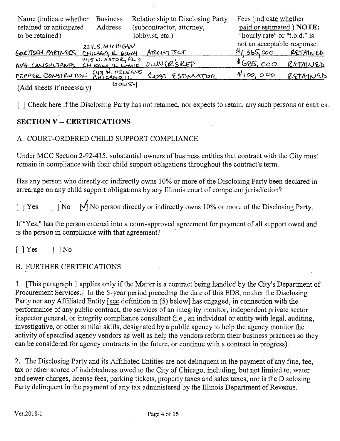| Name (indicate whether<br>retained or anticipated<br>to be retained) | <b>Business</b><br>Address                       | Relationship to Disclosing Party<br>(subcontractor, attorney,<br>lobbyist, etc.) | Fees (indicate whether<br>paid or estimated.) NOTE:<br>"hourly rate" or "t.b.d." is |          |
|----------------------------------------------------------------------|--------------------------------------------------|----------------------------------------------------------------------------------|-------------------------------------------------------------------------------------|----------|
| GOETTSCH PARTIVERS CHICAGO, IL GOODY                                 | $224.5.$ MICHIGAN                                | <b>ARLITITELT</b>                                                                | not an acceptable response.<br>41,365,000                                           | RETAINED |
| AVA CONSULTANTS                                                      | $1415$ N. ASTOR, FL.3<br>C H C A E Q H C G Q Q Q | $00006R$ SREP                                                                    | \$695,000                                                                           | RETAINED |
| PEPPER CONSTRUCTION                                                  | GYZ N. ORLEANS                                   | COST ESTIMATOR                                                                   | \$100,000                                                                           | RETAINED |
| (Add sheets if necessary)                                            | 60654                                            |                                                                                  |                                                                                     |          |

[ ] Check here if the Disclosing Party has not retained, nor expects to retain, any such persons or entities.

## **SECTION V - CERTIFICATIONS**

#### A. COURT-ORDERED CHILD SUPPORT COMPLIANCE

Under MCC Section 2-92-415, substantial owners of business entities that contract with the City must remain in compliance with their child support obligations throughout the contract's term.

Has any person who directly or indirectly owns 10% or more of the Disclosing Party been declared in arrearage on any child support obligations by any Illinois court of competent jurisdiction?

[ ] Yes  $\iiint$   $\mathcal{A}$  No person directly or indirectly owns 10% or more of the Disclosing Party.

If "Yes," has the person entered into a court-approved agreement for payment of all support owed and is the person in compliance with that agreement?

 $[$   $]$   $Y$ es  $[$   $]$   $N$ o

### B. FURTHER CERTIFICATIONS

1. [This paragraph 1 applies only if the Matter is a contract being handled by the City's Department of Procurement Services.] In the 5-year period preceding the date of this EDS, neither the Disclosing Party nor any Affiliated Entity [see definition in (5) below] has engaged, in connection with the performance of any public contract, the services of an integrity monitor, independent private sector inspector general, or integrity compliance consultant (i.e., an individual or entity with legal, auditing, investigative, or other similar skills, designated by a public agency to help the agency monitor the activity of specified agency vendors as well as help the vendors reform their business practices so they can be considered for agency contracts in the future, or continue with a contract in progress).

2. The Disclosing Party and its Affiliated Entities are not delinquent in the payment of any fine, fee, tax or other source of indebtedness owed to the City of Chicago, including, but not limited to, water and sewer charges, license fees, parking tickets, property taxes and sales taxes, nor is the Disclosing Party delinquent in the payment of any tax administered by the Illinois Department of Revenue,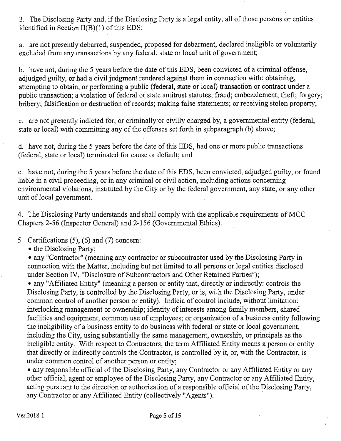3. The Disclosing Party and, if the Disclosing Party is a legal entity, all of those persons or entities identified in Section  $II(B)(1)$  of this EDS:

a. are not presently debarred, suspended, proposed for debarment, declared ineligible or voluntarily excluded from any transactions by any federal, state or local unit of govemment;

b. have not, during the 5 years before the date of this EDS, been convicted of a criminal offense, adjudged guilty, or had a civil judgment rendered against them in connection with: obtaining, attempting to obtain, or performing a public (federal, state or local) transaction or contract under a public transaction; a violation of federal or state antitrust statutes; fraud; embezzlement; theft; forgery; bribery; falsification or destruction of records; making false statements; or receiving stolen property;

c. are not presently indicted for, or criminally or civilly charged by, a govemmental entity (federal, state or local) with committing any of the offenses set forth in subparagraph (b) above;

d. have not, during the 5 years before the date of this EDS, had one or more public transactions (federal, state or local) terminated for cause or default; and

e. have not, during the 5 years before the date of this EDS, been convicted, adjudged guilty, or found liable in a civil proceeding, or in any criminal or civil action, including actions concerning environmental violations, instituted by the City or by the federal government, any state, or any other unit of local govemment.

4. The Disclosing Party understands and shall comply with the applicable requirements of MCC Chapters 2-56 (Inspector General) and 2-156 (Govemmental Ethics).

5. Certifications (5), (6) and (7) concem:

• the Disclosing Party;

• any "Contractor" (meaning any contractor or subcontractor used by the Disclosing Party in connection with the Matter, including but not limited to all persons or legal entities disclosed under Section IV, "Disclosure of Subcontractors and Other Retained Parties");

• any "Affiliated Entity" (meaning a person or entity that, directly or indirectly: controls the Disclosing Party, is controlled by the Disclosing Party, or is, with the Disclosing Party, under common control of another person or entity). Indicia of control include, without limitation: interlocking management or ownership; identity of interests among family members, shared facilities and equipment; common use of employees; or organization of a business entity following the ineligibility of a business entity to do business with federal or state or local govemment, including the City, using substantially the same management, ownership, or principals as the ineligible entity. With respect to Contractors, the term Affiliated Entity means a person or entity that directly or indirectly controls the Contractor, is controlled by it, or, with the Contractor, is under common control of another person or entity;

• any responsible official of the Disclosing Party, any Contractor or any Affiliated Entity or any other official, agent or employee of the Disclosing Party, any Contractor or any Affiliated Entity, acting pursuant to the direction or authorization of a responsible official of the Disclosing Party, any Contractor or any Affiliated Entity (collectively "Agents").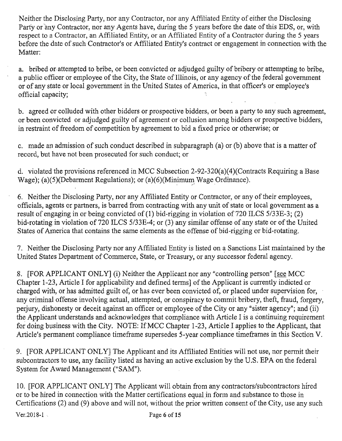Neither the Disclosing Party, nor any Contractor, nor any Affiliated Entity of either the Disclosing Party or any Contractor, nor any Agents have, during the 5 years before the date of this EDS, or, with respect to a Contractor, an Affiliated Entity, or an Affiliated Entity of a Contractor during the 5 years before the date of such Contractor's or Affiliated Entity's contract or engagement in connection with the Matter:

a. bribed or attempted to bribe, or been convicted or adjudged guilty of bribery or attempting to bribe, a public officer or employee of the City, the State of Illinois, or any agency of the federal government or of any state or local govemment in the United States of America, in that officer's or employee's official capacity;

b. agreed or colluded with other bidders or prospective bidders, or been a party to any such agreement, or been convicted or adjudged guilty of agreement or collusion among bidders or prospective bidders, in restraint of freedom of competition by agreement to bid a fixed price or otherwise; or

c. made an admission of such conduct described in subparagraph (a) or (b) above that is a matter of record, but have not been prosecuted for such conduct; or

d. violated the provisions referenced in MCC Subsection 2-92-320(a)(4)(Contracts Requiring a Base Wage); (a)(5)(Debarment Regulations); or (a)(6)(Minimum Wage Ordinance).

6. Neither the Disclosing Party, nor any Affiliated Entity or Contractor, or any of their employees, officials, agents or partners, is barred from contracting with any unit of state or local govemment as a result of engaging in or being convicted of (1) bid-rigging in violation of 720 ILCS 5/33E-3; (2) bid-rotating in violation of 720 ILCS 5/33E-4; or (3) any similar offense of any state or of the United States of America that contains the same elements as the offense of bid-rigging or bid-rotating.

7. Neither the Disclosing Party nor any Affiliated Entity is listed on a Sanctions List maintained by the United States Department of Commerce, State, or Treasury, or any successor federal agency.

8. [FOR APPLICANT ONLY] (i) Neither the Applicant nor any "controlling person" [see MCC Chapter 1-23, Article I for applicability and defined terms] of the Applicant is currently indicted or charged with, or has admitted guilt of, or has ever been convicted of, or placed under supervision for, any criminal offense involving actual, attempted, or conspiracy to commit bribery, theft, fraud, forgery, perjury, dishonesty or deceit against an officer or employee of the City or any "sister agency"; and (ii) the Applicant understands and acknowledges that compliance with Article I is a continuing requirement for doing business with the City. NOTE: If MCC Chapter 1-23, Article I applies to the Applicant, that Article's permanent compliance timeframe supersedes 5-year compliance timeframes in this Section V.

9. [FOR APPLICANT ONLY] The Applicant and its Affiliated Entities will not use, nor pennit their subcontractors to use, any facility listed as having an active exclusion by the U.S. EPA on the federal System for Award Management ("SAM").

10. [FOR APPLICANT ONLY] The Applicant will obtain from any contractors/subcontractors hired or to be hired in connection with the Matter certifications equal in form and substance to those in Certifications  $(2)$  and  $(9)$  above and will not, without the prior written consent of the City, use any such Ver.2018-1 . Page 6 of 15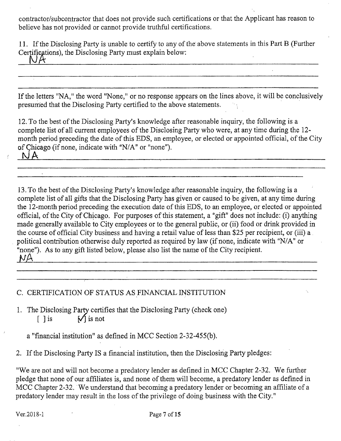contractor/subcontractor that does not provide such certifications or that the Applicant has reason to believe has not provided or cannot provide tmthful certifications.

11. If the Disclosing Party is unable to certify to any of the above statements in this Part B (Further Certifications), the Disclosing Party must explain below:<br> $\bigcup_{n=1}^{\infty} A$ 

If the letters "NA," the word "None," or no response appears on the lines above, it will be conclusively presumed that the Disclosing Party certified to the above statements.

12. To the best of the Disclosing Party's knowledge after reasonable inquiry, the following is a complete list of all current employees of the Disclosing Party who were, at any time during the 12 month period preceding the date of this EDS, an employee, or elected or appointed official, of the City of Chicago (if none, indicate with "N/A" or "none"). **NiA** 

이 사이트 시스템 (Section Article) - 이 사이트 시스템 (Section Article) - 이 사이트 시스템 (Section Article)

13. To the best of the Disclosing Party's knowledge after reasonable inquiry, the following is a complete list of all gifts that the Disclosing Party has given or caused to be given, at any time during the 12-month period preceding the execution date of this EDS, to an employee, or elected or appointed official, of the City of Chicago. For purposes of this statement, a "gift" does not include: (i) anything made generally available to City employees or to the general public, or (ii) food or drink provided in the course of official City business and having a retail value of less than \$25 per recipient, or (iii) a political contribution otherwise duly reported as required by law (if none, indicate with "N/A" or "none"). As to any gift listed below, please also list the name of the City recipient. *m* 

## C. CERTIFICATION OF STATUS AS FINANCIAL INSTITUTION

1. The Disclosing Party certifies that the Disclosing Party (check one)<br>  $\begin{bmatrix} 1 & \text{is} \\ 1 & \text{is} \end{bmatrix}$  is not  $\lceil \ \rceil$  is  $\begin{bmatrix} 1 & 0 \\ 0 & 1 \end{bmatrix}$ 

a  $\mathcal{L}$  final institution  $\mathcal{L}$  institution 2-32-55(b).

 $2.$  If the Disclosing Party IS a final institution, then the Disclosing Party pledges:

"We are not and will not become a predatory lender as defined in MCC Chapter 2-32. We further pledge that none of our affiliates is, and none of them will become, a predatory lender as defined in MCC Chapter 2-32. We understand that becoming a predatory lender or becoming an affiliate of a predatory lender may result in the loss of the privilege of doing business with the City."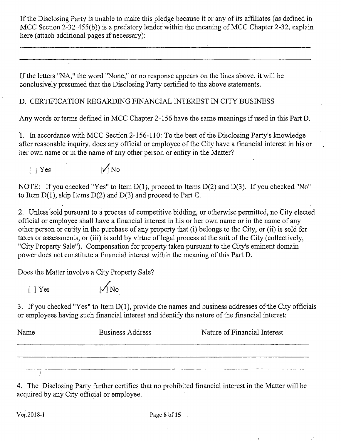If the Disclosing Party is unable to make this pledge because it or any of its affiliates (as defined in MCC Section 2-32-455(b)) is a predatory lender within the meaning of MCC Chapter 2-32, explain here (attach additional pages if necessary):

If the letters "NA," the word "None," or no response appears on the lines above, it will be conclusively presumed that the Disclosing Party certified to the above statements.

# D. CERTIFICATION REGARDING FINANCIAL INTEREST IN CITY BUSINESS

Any words or terms defined in MCC Chapter 2-156 have the same meanings if used in this Part D.

1. In accordance with MCC Section 2-156-110: To the best of the Disclosing Party's knowledge after reasonable inquiry, does any official or employee of the City have a financial interest in his or her own name or in the name of any other person or entity in the Matter?

 $[$  ] Yes  $\sqrt{\phantom{a}}$ 

NOTE: If you checked "Yes" to Item D(1), proceed to Items D(2) and D(3). If you checked "No" to Item  $D(1)$ , skip Items  $D(2)$  and  $D(3)$  and proceed to Part E.

2. Unless sold pursuant to a process of competitive bidding, or otherwise permitted, no City elected official or employee shall have a financial interest in his or her own name or in the name of any other person or entity in the purchase of any property that (i) belongs to the City, or (ii) is sold for taxes or assessments, or (iii) is sold by virtue of legal process at the suit of the City (collectively, "City Property Sale"). Compensation for property taken pursuant to the City's eminent domain power does not constitute a financial interest within the meaning of this Part D.

Does the Matter involve a City Property Sale?

 $[$   $]$  Yes  $[$   $\sqrt{N_0}$ 

3. If you checked "Yes" to Item  $D(1)$ , provide the names and business addresses of the City officials or employees having such financial interest and identify the nature of the financial interest:

| Name | <b>Business Address</b> | Nature of Financial Interest |
|------|-------------------------|------------------------------|
|      |                         |                              |
|      |                         |                              |

4. The Disclosing Party further certifies that no prohibited financial interest in the Matter will be acquired by any City official or employee.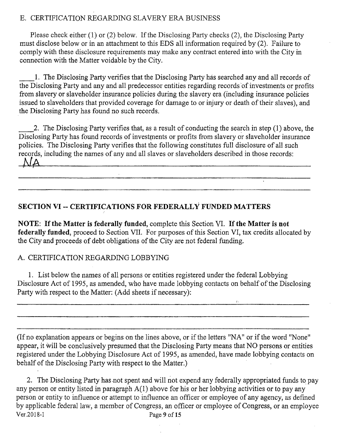# E. CERTIFICATION REGARDING SLAVERY ERA BUSINESS

Please check either (1) or (2) below. If the Disclosing Party checks (2), the Disclosing Party must disclose below or in an attachment to this EDS all information required by (2). Failure to comply with these disclosure requirements may make any contract entered into with the City in connection with the Matter voidable by the City.

1. The Disclosing Party verifies that the Disclosing Party has searched any and all records of the Disclosing Party and any and all predecessor entities regarding records of investments or profits from slavery or slaveholder insurance policies during the slavery era (including insurance policies issued to slaveholders that provided coverage for damage to or injury or death of their slaves), and the Disclosing Party has found no such records.

2. The Disclosing Party verifies that, as a result of conducting the search in step (1) above, the Disclosing Party has found records of investments or profits from slavery or slaveholder insurance policies. The Disclosing Party verifies that the following constitutes full disclosure of all such records, including the names of any and all slaves or slaveholders described in those records:<br> $\Lambda/A$ <u>. De se se o desir de la componenta que la componenta de la componenta de la componenta de la componenta que n</u>

#### **SECTION VI - CERTIFICATIONS FOR FEDERALLY FUNDED MATTERS**

NOTE: If the Matter is federally funded, complete this Section VI. If the Matter is not federally funded, proceed to Section VII. For purposes of this Section VI, tax credits allocated by the City and proceeds of debt obligations of the City are not federal fimding.

#### A. CERTIFICATION REGARDING LOBBYING

1. List below the names of all persons or entities registered under the federal Lobbying Disclosure Act of 1995, as amended, who have made lobbying contacts on behalf of the Disclosing Party with respect to the Matter: (Add sheets if necessary):

(If no explanation appears or begins on the lines above, or if the letters "NA" or if the word "None" appear, it will be conclusively presumed that the Disclosing Party means that NO persons or entities registered under the Lobbying Disclosure Act of 1995, as amended, have made lobbying contacts on behalf of the Disclosing Party with respect to the Matter.)

2. The Disclosing Party has -not spent and will not expend any federally appropriated funds to pay any person or entity listed in paragraph A(1) above for his or her lobbying activities or to pay any person or entity to influence or attempt to influence an officer or employee of any agency, as defmed by applicable federal law, a member of Congress, an officer or employee of Congress, or an employee Ver.2018-1 Page 9 of 15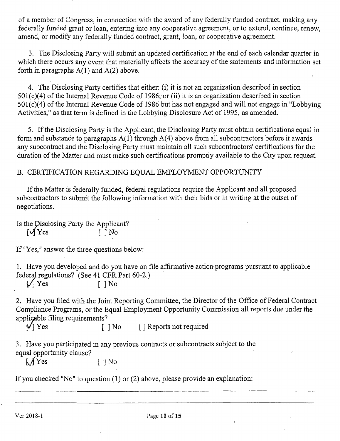of a member of Congress, in connection with the award of any federally funded contract, making any federally funded grant or loan, entering into any cooperative agreement, or to extend, continue, renew, amend, or modify any federally funded contract, grant, loan, or cooperative agreement.

3. The Disclosing Party will submit an updated certification at the end of each calendar quarter in which there occurs any event that materially affects the accuracy of the statements and information set forth in paragraphs  $A(1)$  and  $A(2)$  above.

4. The Disclosing Party certifies that either: (i) it is not an organization described in section 501(c)(4) of the Internal Revenue Code of 1986; or (ii) it is an organization described in section 501(c)(4) of the Intemal Revenue Code of 1986 but has not engaged and will not engage in "Lobbying Activities," as that term is defined in the Lobbying Disclosure Act of 1995, as amended.

5. If the Disclosing Paity is the Applicant, the Disclosing Party must obtain certifications equal in form and substance to paragraphs A(l) through A(4) above from all subcontractors before it awards any subcontract and the Disclosing Party must maintain all such subcontractors' certifications for the duration of the Matter and must make such certifications promptiy available to the City upon request.

### B. CERTIFICATION REGARDING EQUAL EMPLOYMENT OPPORTUNITY

If the Matter is federally funded, federal regulations require the Applicant and all proposed subcontractors to submit the following information with their bids or in writing at the outset of negotiations.

Is the Disclosing Party the Applicant?  $\sqrt{Y}$ es [ ]No

If "Yes," answer the three questions below:

1. Have you developed and do you have on file affirmative action-programs pursuant to applicable federal regulations? (See 41 CFR Part 60-2.)

 $\sqrt{ }$  Yes [ ] No

2. Have you filed with the Joint Reporting Committee, the Director of the Office of Federal Contract Compliance Programs, or the Equal Employment Opportunity Commission all reports due under the applicable filing requirements?

 $\sqrt{}$  Yes  $\lceil$  1 No  $\lceil$  1 Reports not required

3. Have you participated in any previous contracts or subcontracts subject to the equal opportunity clause?

 $\lambda / Y$ es [ ] No

If you checked "No" to question (1) or (2) above, please provide an explanation: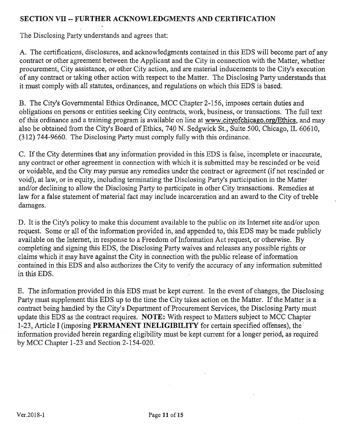### **SECTION VII ~ FURTHER ACKNOWLEDGMENTS AND CERTIFICATION**

The Disclosing Party understands and agrees that:

A. The certifications, disclosures, and acknowledgments contained in this EDS will become part of any contract or other agreement between the Applicant and the City in connection with the Matter, whether procurement, City assistance, or other City action, and are material inducements to the City's execution of any contract or taking other action with respect to the Matter. The Disclosing Party understands that it must comply with all statutes, ordinances, and regulations on which this EDS is based.

B. The City's Govemmental Ethics Ordinance, MCC Chapter 2-156, imposes certain duties and obligations on persons or entities seeking City contracts, work, business, or transactions. The full text of this ordinance and a training program is available on line at www.cityofchicago.org/Ethics. and may also be obtained from the City's Board of Ethics, 740 N. Sedgwick St., Suite 500, Chicago, IL 60610, (312) 744-9660. The Disclosing Party must comply fully with this ordinance.

C. If the City determines that any information provided in this EDS is false, incomplete or inaccurate, any contract or other agreement in connection with which it is submitted may be rescinded or be void or voidable, and the City may pursue any remedies under the contract or agreement (if not rescinded or void), at law, or in equity, including terminating the Disclosing Party's participation in the Matter and/or declining to allow the Disclosing Party to participate in other City transactions. Remedies at law for a false statement of material fact may include incarceration and an award to the City of treble damages.

D. It is the City's policy to make this document available to the public on its Internet site and/or upon request. Some or all of the information provided in, and appended to, this EDS may be made publicly available on the Intemet, in response to a Freedom of Information Act request, or otherwise. By completing and signing this EDS, the Disclosing Party waives and releases any possible rights or claims which it may have against the City in connection with the public release of information contained in this EDS and also authorizes the City to verify the accuracy of any information submitted in this EDS.

E. The information provided in this EDS must be kept current. In the event of changes, the Disclosing Party must supplement this EDS up to the time the City takes action on the Matter. If the Matter is a contract being handled by the City's Department of Procurement Services, the Disclosing Party must update this EDS as fhe contract requires. NOTE: With respect to Matters subject to MCC Chapter 1-23, Article I (imposing PERMANENT INELIGIBILITY for certain specified offenses), the information provided herein regarding eligibility must be kept current for a longer period, as required by MCC Chapter 1-23 and Section 2-154-020.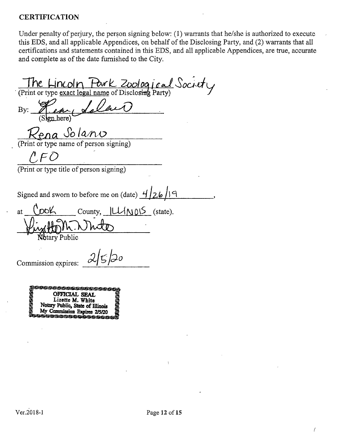#### **CERTIFICATION**

Under penalty of perjury, the person signing below: (1) warrants that he/she is authorized to execute this EDS, and all applicable Appendices, on behalf of the Disclosing Party, and (2) warrants that all certifications and statements contained in this EDS, and all applicable Appendices, are tme, accurate and complete as of the date fumished to the City.

The Lincoln Pork Zoological Society By: n here<sup>)</sup> Rena Solano<br>(Print or type name of person signing)  $\wedge$  F  $\overline{C}$ (Print or type titie of person signing) Signed and sworn to before me on (date)  $\frac{4}{26}$ at  $\bigcirc$  OOK  $\bigcirc$  County,  $\bigcup \{N\}\bigcirc S$  (state). tary Public သြဝ Commission expires

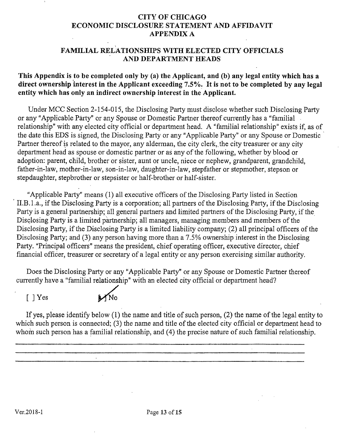#### **CITY OF CHICAGO ECONOMIC DISCLOSURE STATEMENT AND AFFIDAVIT APPENDIX A**

#### **FAMILIAL RELATIONSHIPS WITH ELECTED CITY OFFICIALS AND DEPARTMENT HEADS**

#### **This Appendix is to be completed only by (a) the Applicant, and (b) any legal entity which has a direct ownership interest in the Applicant exceeding 7.5%. It is not to be completed by any legal entity which has only an indirect ownership interest in the Applicant.**

Under MCC Section 2-154-015, the Disclosing Party must disclose whether such Disclosing Party or any "Applicable Party" or any Spouse or Domestic Partner thereof currently has a "familial relationship" with any elected city official or department head. A "familial relationship" exists if, as of the date this EDS is signed, the Disclosing Party or any "Applicable Party" or any Spouse or Domestic Partner thereof is related to the mayor, any alderman, the city clerk, the city treasurer or any city department head as spouse or domestic partner or as any of the following, whether by blood or adoption: parent, child, brother or sister, aunt or uncle, niece or nephew, grandparent, grandchild, father-in-law, mother-in-law, son-in-law, daughter-in-law, stepfather or stepmother, stepson or stepdaughter, stepbrother or stepsister or half-brother or half-sister.

"Applicable Party" means (1) all executive officers of the Disclosing, Party listed in Section II.B.l.a., if the Disclosing Party is a corporation; all partners of the Disclosing Party, if the Disclosing Party is a general partnership; all general partners and limited partners of the Disclosing Party, if the Disclosing Party is a limited partnership; all managers, managing members and members of the Disclosing Party, if the Disclosing Party is a limited liability company; (2) all principal officers of the Disclosing Party; and (3) any person having more than a 7.5% ownership interest in the Disclosing Party. "Principal officers" means the president, chief operating officer, executive director, chief financial officer, treasurer or secretary of a legal entity or any person exercising similar authority.

Does the Disclosing Party or any "Applicable Party" or any Spouse or Domestic Partner thereof currently have a "familial relationship" with an elected city official or department head?

[ ] Yes

If yes, please identify below (1) the name and title of such person, (2) the name of the legal entity to which such person is connected;  $(3)$  the name and title of the elected city official or department head to whom such person has a familial relationship, and (4) the precise nature of such familial relationship.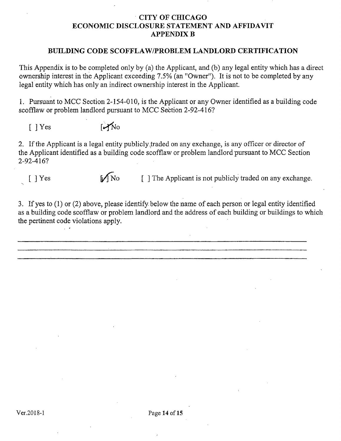#### **CITY OF CHICAGO ECONOMIC DISCLOSURE STATEMENT AND AFFIDAVIT APPENDIX B**

#### **BUILDING CODE SCOFFLAW/PROBLEM LANDLORD CERTIFICATION**

This Appendix is to be completed only by (a) the Applicant, and (b) any legal entity which has a direct ownership interest in the Applicant exceeding 7.5% (an "Owner"). It is not to be completed by any legal entity which has only an indirect ownership interest in the Applicant.

1. Pursuant to MCC Section 2-154-010, is the Applicant or any Owner identified as a building code scofflaw or problem landlord pursuant to MCC Section 2-92-416?

 $[$   $]$   $Y$ es  $[$   $\rightarrow$   $N$ o

2. If the Applicant is a legal entity publicly traded on any exchange, is any officer or director of the Applicant identified as a building code scofflaw or problem landlord pursuant to MCC Section 2-92-416?

 $[ ]$  Yes  $[ ]$  No  $[ ]$  The Applicant is not publicly traded on any exchange.

3. If yes to (1) or (2) above, please identify, below the name of each person or legal entity identified as a building code scofflaw or problem landlord and the address of each building or buildings to which the pertinent code violations apply.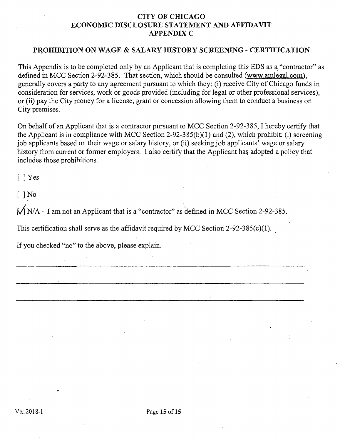#### **CITY OF CHICAGO ECONOMIC DISCLOSURE STATEMENT AND AFFIDAVIT APPENDIX C**

#### **PROHIBITION ON WAGE & SALARY HISTORY SCREENING - CERTIFICATION**

This Appendix is to be completed only by an Applicant that is completing this EDS as a "contractor" as defmed in MCC Section 2-92-385. That section, which should be consulted (www.amlegal.com). generally covers a party to any agreement pursuant to which they: (i) receive City of Chicago funds in consideration for services, work or goods provided (including for legal or other professional services), or (ii) pay the City money for a license, grant or concession allowing them to conduct a business on City premises.

On behalf of an Applicant that is a contractor pursuant to MCC Section 2-92-385,1 hereby certify that the Applicant is in compliance with MCC Section 2-92-3 85(b)(1) and (2), which prohibit; (i) screening job applicants based on their wage or salary history, or (ii) seeking job applicants' wage or salary history from current or former employers. I also certify that the Applicant has adopted a policy that includes those prohibitions.

[ ] Yes

 $[$  ] No

 $\sqrt{\frac{N}{A}} - I$  am not an Applicant that is a "contractor" as defined in MCC Section 2-92-385.

This certification shall serve as the affidavit required by MCC Section 2-92-385(c)(l).

If you checked "no" to the above, please explain.